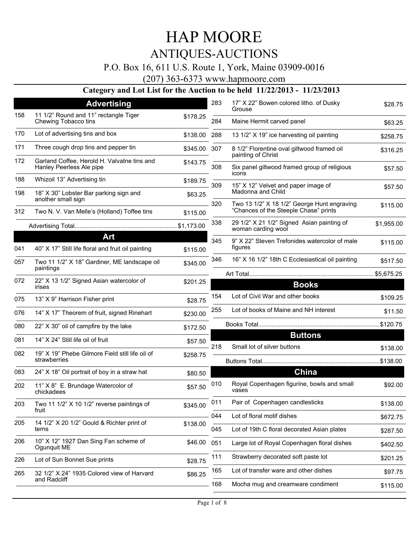## P.O. Box 16, 611 U.S. Route 1, York, Maine 03909-0016

(207) 363-6373 www.hapmoore.com

|     | <b>Advertising</b>                                                      |              | 283 | 17" X 22" Bowen colored litho. of Dusky                                              | \$28.75    |
|-----|-------------------------------------------------------------------------|--------------|-----|--------------------------------------------------------------------------------------|------------|
| 158 | 11 1/2" Round and 11" rectangle Tiger<br>Chewing Tobacco tins           | \$178.25     | 284 | Grouse<br>Maine Hermit carved panel                                                  | \$63.25    |
| 170 | Lot of advertising tins and box                                         | \$138.00     | 288 | 13 1/2" X 19" ice harvesting oil painting                                            | \$258.75   |
| 171 | Three cough drop tins and pepper tin                                    | \$345.00 307 |     | 8 1/2" Florentine oval giltwood framed oil                                           | \$316.25   |
| 172 | Garland Coffee, Herold H. Valvatne tins and<br>Hanley Peerless Ale pipe | \$143.75     | 308 | painting of Christ<br>Six panel giltwood framed group of religious                   | \$57.50    |
| 188 | Whizoil 13" Advertising tin                                             | \$189.75     |     | icons                                                                                |            |
| 198 | 18" X 30" Lobster Bar parking sign and<br>another small sign            | \$63.25      | 309 | 15" X 12" Velvet and paper image of<br>Madonna and Child                             | \$57.50    |
| 312 | Two N. V. Van Melle's (Holland) Toffee tins                             | \$115.00     | 320 | Two 13 1/2" X 18 1/2" George Hunt engraving<br>"Chances of the Steeple Chase" prints | \$115.00   |
|     |                                                                         |              | 338 | 29 1/2" X 21 1/2" Signed Asian painting of<br>woman carding wool                     | \$1,955.00 |
|     | Art                                                                     |              | 345 | 9" X 22" Steven Trefonides watercolor of male                                        |            |
| 041 | 40" X 17" Still life floral and fruit oil painting                      | \$115.00     |     | figures                                                                              | \$115.00   |
| 057 | Two 11 1/2" X 18" Gardiner, ME landscape oil<br>paintings               | \$345.00     | 346 | 16" X 16 1/2" 18th C Ecclesiastical oil painting                                     | \$517.50   |
|     |                                                                         |              |     |                                                                                      |            |
| 072 | 22" X 13 1/2" Signed Asian watercolor of<br>irises                      | \$201.25     |     | <b>Books</b>                                                                         |            |
| 075 | 13" X 9" Harrison Fisher print                                          | \$28.75      | 154 | Lot of Civil War and other books                                                     | \$109.25   |
| 076 | 14" X 17" Theorem of fruit, signed Rinehart                             | \$230.00     | 255 | Lot of books of Maine and NH interest                                                | \$11.50    |
| 080 | 22" X 30" oil of campfire by the lake                                   | \$172.50     |     |                                                                                      |            |
| 081 | 14" X 24" Still life oil of fruit                                       | \$57.50      | 218 | <b>Buttons</b><br>Small lot of silver buttons                                        |            |
| 082 | 19" X 19" Phebe Gilmore Field still life oil of<br>strawberries         | \$258.75     |     |                                                                                      | \$138.00   |
| 083 | 24" X 18" Oil portrait of boy in a straw hat                            |              |     | China                                                                                |            |
|     |                                                                         | \$80.50      |     |                                                                                      |            |
| 202 | 11" X 8" E. Brundage Watercolor of<br>chickadees                        | \$57.50      | 010 | Royal Copenhagen figurine, bowls and small<br>vases                                  | \$92.00    |
| 203 | Two 11 1/2" X 10 1/2" reverse paintings of<br>fruit                     | \$345.00     | 011 | Pair of Copenhagen candlesticks                                                      | \$138.00   |
| 205 | 14 1/2" X 20 1/2" Gould & Richter print of                              |              | 044 | Lot of floral motif dishes                                                           | \$672.75   |
|     | terns                                                                   | \$138.00     | 045 | Lot of 19th C floral decorated Asian plates                                          | \$287.50   |
| 206 | 10" X 12" 1927 Dan Sing Fan scheme of<br>Ogunquit ME                    | \$46.00      | 051 | Large lot of Royal Copenhagen floral dishes                                          | \$402.50   |
| 226 | Lot of Sun Bonnet Sue prints                                            | \$28.75      | 111 | Strawberry decorated soft paste lot                                                  | \$201.25   |
| 265 | 32 1/2" X 24" 1935 Colored view of Harvard                              | \$86.25      | 165 | Lot of transfer ware and other dishes                                                | \$97.75    |
|     | and Radcliff                                                            |              | 168 | Mocha mug and creamware condiment                                                    | \$115.00   |
|     |                                                                         |              |     |                                                                                      |            |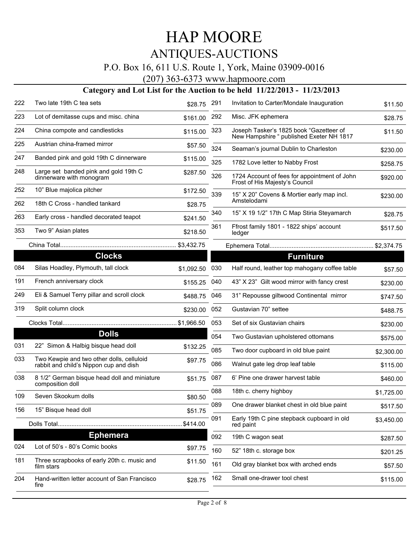## P.O. Box 16, 611 U.S. Route 1, York, Maine 03909-0016

(207) 363-6373 www.hapmoore.com

| 222 | Two late 19th C tea sets                                                            | \$28.75    | 291 | Invitation to Carter/Mondale Inauguration                                           | \$11.50    |
|-----|-------------------------------------------------------------------------------------|------------|-----|-------------------------------------------------------------------------------------|------------|
| 223 | Lot of demitasse cups and misc. china                                               | \$161.00   | 292 | Misc. JFK ephemera                                                                  | \$28.75    |
| 224 | China compote and candlesticks                                                      | \$115.00   | 323 | Joseph Tasker's 1825 book "Gazetteer of<br>New Hampshire " published Exeter NH 1817 | \$11.50    |
| 225 | Austrian china-framed mirror                                                        | \$57.50    | 324 | Seaman's journal Dublin to Charleston                                               | \$230.00   |
| 247 | Banded pink and gold 19th C dinnerware                                              | \$115.00   | 325 | 1782 Love letter to Nabby Frost                                                     | \$258.75   |
| 248 | Large set banded pink and gold 19th C<br>dinnerware with monogram                   | \$287.50   | 326 | 1724 Account of fees for appointment of John<br>Frost of His Majesty's Council      | \$920.00   |
| 252 | 10" Blue majolica pitcher                                                           | \$172.50   | 339 | 15" X 20" Covens & Mortier early map incl.                                          | \$230.00   |
| 262 | 18th C Cross - handled tankard                                                      | \$28.75    |     | Amstelodami                                                                         |            |
| 263 | Early cross - handled decorated teapot                                              | \$241.50   | 340 | 15" X 19 1/2" 17th C Map Stiria Steyamarch                                          | \$28.75    |
| 353 | Two 9" Asian plates                                                                 | \$218.50   | 361 | Ffrost family 1801 - 1822 ships' account<br>ledger                                  | \$517.50   |
|     |                                                                                     |            |     |                                                                                     |            |
|     | <b>Clocks</b>                                                                       |            |     | <b>Furniture</b>                                                                    |            |
| 084 | Silas Hoadley, Plymouth, tall clock                                                 | \$1,092.50 | 030 | Half round, leather top mahogany coffee table                                       | \$57.50    |
| 191 | French anniversary clock                                                            | \$155.25   | 040 | 43" X 23" Gilt wood mirror with fancy crest                                         | \$230.00   |
| 249 | Eli & Samuel Terry pillar and scroll clock                                          | \$488.75   | 046 | 31" Repousse giltwood Continental mirror                                            | \$747.50   |
| 319 | Split column clock                                                                  | \$230.00   | 052 | Gustavian 70" settee                                                                | \$488.75   |
|     |                                                                                     |            | 053 | Set of six Gustavian chairs                                                         | \$230.00   |
|     | <b>Dolls</b>                                                                        |            | 054 | Two Gustavian upholstered ottomans                                                  | \$575.00   |
| 031 | 22" Simon & Halbig bisque head doll                                                 | \$132.25   | 085 | Two door cupboard in old blue paint                                                 | \$2,300.00 |
| 033 | Two Kewpie and two other dolls, celluloid<br>rabbit and child's Nippon cup and dish | \$97.75    | 086 | Walnut gate leg drop leaf table                                                     | \$115.00   |
| 038 | 8 1/2" German bisque head doll and miniature<br>composition doll                    | \$51.75    | 087 | 6' Pine one drawer harvest table                                                    | \$460.00   |
| 109 | Seven Skookum dolls                                                                 | \$80.50    | 088 | 18th c. cherry highboy                                                              | \$1,725.00 |
| 156 | 15" Bisque head doll                                                                | \$51.75    | 089 | One drawer blanket chest in old blue paint                                          | \$517.50   |
|     | Dolls Total                                                                         | \$414.00   | 091 | Early 19th C pine stepback cupboard in old<br>red paint                             | \$3,450.00 |
|     | <b>Ephemera</b>                                                                     |            | 092 | 19th C wagon seat                                                                   | \$287.50   |
| 024 | Lot of 50's - 80's Comic books                                                      | \$97.75    | 160 | 52" 18th c. storage box                                                             | \$201.25   |
| 181 | Three scrapbooks of early 20th c. music and<br>film stars                           | \$11.50    | 161 | Old gray blanket box with arched ends                                               | \$57.50    |
| 204 | Hand-written letter account of San Francisco<br>fire                                | \$28.75    | 162 | Small one-drawer tool chest                                                         | \$115.00   |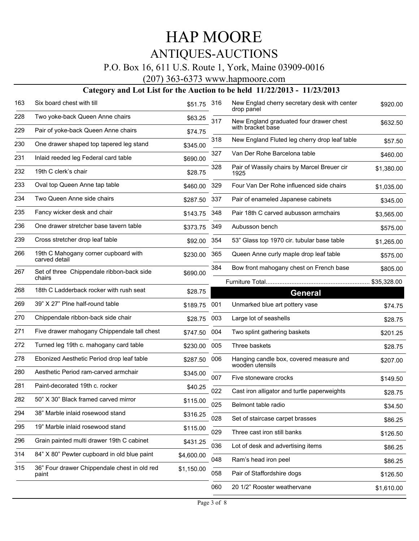## P.O. Box 16, 611 U.S. Route 1, York, Maine 03909-0016

(207) 363-6373 www.hapmoore.com

| 163 | Six board chest with till                             | \$51.75    | 316 | New Englad cherry secretary desk with center<br>drop panel | \$920.00    |
|-----|-------------------------------------------------------|------------|-----|------------------------------------------------------------|-------------|
| 228 | Two yoke-back Queen Anne chairs                       | \$63.25    | 317 | New England graduated four drawer chest                    | \$632.50    |
| 229 | Pair of yoke-back Queen Anne chairs                   | \$74.75    |     | with bracket base                                          |             |
| 230 | One drawer shaped top tapered leg stand               | \$345.00   | 318 | New England Fluted leg cherry drop leaf table              | \$57.50     |
| 231 | Inlaid reeded leg Federal card table                  | \$690.00   | 327 | Van Der Rohe Barcelona table                               | \$460.00    |
| 232 | 19th C clerk's chair                                  | \$28.75    | 328 | Pair of Wassily chairs by Marcel Breuer cir<br>1925        | \$1,380.00  |
| 233 | Oval top Queen Anne tap table                         | \$460.00   | 329 | Four Van Der Rohe influenced side chairs                   | \$1,035.00  |
| 234 | Two Queen Anne side chairs                            | \$287.50   | 337 | Pair of enameled Japanese cabinets                         | \$345.00    |
| 235 | Fancy wicker desk and chair                           | \$143.75   | 348 | Pair 18th C carved aubusson armchairs                      | \$3,565.00  |
| 236 | One drawer stretcher base tavern table                | \$373.75   | 349 | Aubusson bench                                             | \$575.00    |
| 239 | Cross stretcher drop leaf table                       | \$92.00    | 354 | 53" Glass top 1970 cir. tubular base table                 | \$1,265.00  |
| 266 | 19th C Mahogany corner cupboard with<br>carved detail | \$230.00   | 365 | Queen Anne curly maple drop leaf table                     | \$575.00    |
| 267 | Set of three Chippendale ribbon-back side             | \$690.00   | 384 | Bow front mahogany chest on French base                    | \$805.00    |
|     | chairs                                                |            |     |                                                            | \$35,328.00 |
| 268 | 18th C Ladderback rocker with rush seat               | \$28.75    |     | <b>General</b>                                             |             |
| 269 | 39" X 27" Plne half-round table                       | \$189.75   | 001 | Unmarked blue art pottery vase                             | \$74.75     |
| 270 | Chippendale ribbon-back side chair                    | \$28.75    | 003 | Large lot of seashells                                     | \$28.75     |
| 271 | Five drawer mahogany Chippendale tall chest           | \$747.50   | 004 | Two splint gathering baskets                               | \$201.25    |
| 272 | Turned leg 19th c. mahogany card table                | \$230.00   | 005 | Three baskets                                              | \$28.75     |
| 278 | Ebonized Aesthetic Period drop leaf table             | \$287.50   | 006 | Hanging candle box, covered measure and<br>wooden utensils | \$207.00    |
| 280 | Aesthetic Period ram-carved armchair                  | \$345.00   | 007 | Five stoneware crocks                                      | \$149.50    |
| 281 | Paint-decorated 19th c. rocker                        | \$40.25    | 022 | Cast iron alligator and turtle paperweights                | \$28.75     |
| 282 | 50" X 30" Black framed carved mirror                  | \$115.00   | 025 | Belmont table radio                                        | \$34.50     |
| 294 | 38" Marble inlaid rosewood stand                      | \$316.25   | 028 | Set of staircase carpet brasses                            |             |
| 295 | 19" Marble inlaid rosewood stand                      | \$115.00   | 029 | Three cast iron still banks                                | \$86.25     |
| 296 | Grain painted multi drawer 19th C cabinet             | \$431.25   |     |                                                            | \$126.50    |
| 314 | 84" X 80" Pewter cupboard in old blue paint           | \$4,600.00 | 036 | Lot of desk and advertising items                          | \$86.25     |
| 315 | 36" Four drawer Chippendale chest in old red          | \$1,150.00 | 048 | Ram's head iron peel                                       | \$86.25     |
|     | paint                                                 |            | 058 | Pair of Staffordshire dogs                                 | \$126.50    |
|     |                                                       |            | 060 | 20 1/2" Rooster weathervane                                | \$1,610.00  |
|     |                                                       |            |     |                                                            |             |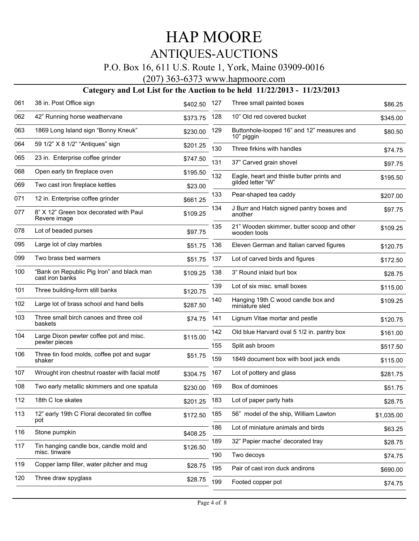## P.O. Box 16, 611 U.S. Route 1, York, Maine 03909-0016

(207) 363-6373 www.hapmoore.com

| 061 | 38 in. Post Office sign                                      | \$402.50 | 127 | Three small painted boxes                                  | \$86.25    |
|-----|--------------------------------------------------------------|----------|-----|------------------------------------------------------------|------------|
| 062 | 42" Running horse weathervane                                | \$373.75 | 128 | 10" Old red covered bucket                                 | \$345.00   |
| 063 | 1869 Long Island sign "Bonny Kneuk"                          | \$230.00 | 129 | Buttonhole-looped 16" and 12" measures and<br>10" piggin   | \$80.50    |
| 064 | 59 1/2" X 8 1/2" "Antiques" sign                             | \$201.25 | 130 | Three firkins with handles                                 | \$74.75    |
| 065 | 23 in. Enterprise coffee grinder                             | \$747.50 | 131 | 37" Carved grain shovel                                    | \$97.75    |
| 068 | Open early tin fireplace oven                                | \$195.50 | 132 | Eagle, heart and thistle butter prints and                 | \$195.50   |
| 069 | Two cast iron fireplace kettles                              | \$23.00  |     | qilded letter "W"                                          |            |
| 071 | 12 in. Enterprise coffee grinder                             | \$661.25 | 133 | Pear-shaped tea caddy                                      | \$207.00   |
| 077 | 8" X 12" Green box decorated with Paul<br>Revere image       | \$109.25 | 134 | J Burr and Hatch signed pantry boxes and<br>another        | \$97.75    |
| 078 | Lot of beaded purses                                         | \$97.75  | 135 | 21" Wooden skimmer, butter scoop and other<br>wooden tools | \$109.25   |
| 095 | Large lot of clay marbles                                    | \$51.75  | 136 | Eleven German and Italian carved figures                   | \$120.75   |
| 099 | Two brass bed warmers                                        | \$51.75  | 137 | Lot of carved birds and figures                            | \$172.50   |
| 100 | "Bank on Republic Pig Iron" and black man<br>cast iron banks | \$109.25 | 138 | 3" Round inlaid burl box                                   | \$28.75    |
| 101 | Three building-form still banks                              | \$120.75 | 139 | Lot of six misc. small boxes                               | \$115.00   |
| 102 | Large lot of brass school and hand bells                     | \$287.50 | 140 | Hanging 19th C wood candle box and<br>miniature sled       | \$109.25   |
| 103 | Three small birch canoes and three coil<br>baskets           | \$74.75  | 141 | Lignum Vitae mortar and pestle                             | \$120.75   |
| 104 | Large Dixon pewter coffee pot and misc.<br>pewter pieces     | \$115.00 | 142 | Old blue Harvard oval 5 1/2 in. pantry box                 | \$161.00   |
| 106 | Three tin food molds, coffee pot and sugar                   | \$51.75  | 155 | Split ash broom                                            | \$517.50   |
|     | shaker                                                       |          | 159 | 1849 document box with boot jack ends                      | \$115.00   |
| 107 | Wrought iron chestnut roaster with facial motif              | \$304.75 | 167 | Lot of pottery and glass                                   | \$281.75   |
| 108 | Two early metallic skimmers and one spatula                  | \$230.00 | 169 | Box of dominoes                                            | \$51.75    |
| 112 | 18th C Ice skates                                            | \$201.25 | 183 | Lot of paper party hats                                    | \$28.75    |
| 113 | 12" early 19th C Floral decorated tin coffee<br>pot          | \$172.50 | 185 | 56" model of the ship, William Lawton                      | \$1,035.00 |
| 116 | Stone pumpkin                                                | \$408.25 | 186 | Lot of miniature animals and birds                         | \$63.25    |
| 117 | Tin hanging candle box, candle mold and                      | \$126.50 | 189 | 32" Papier mache' decorated tray                           | \$28.75    |
|     | misc. tinware                                                |          | 190 | Two decoys                                                 | \$74.75    |
| 119 | Copper lamp filler, water pitcher and mug                    | \$28.75  | 195 | Pair of cast iron duck andirons                            | \$690.00   |
| 120 | Three draw spyglass                                          | \$28.75  | 199 | Footed copper pot                                          | \$74.75    |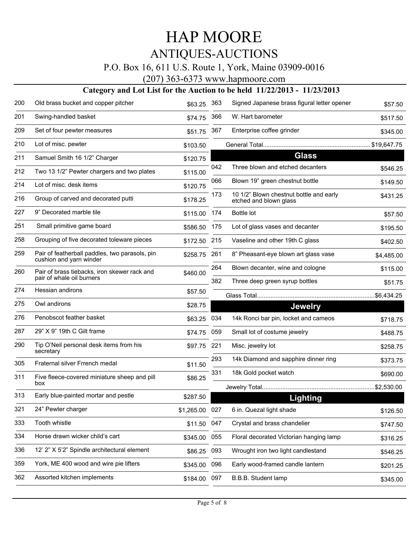## P.O. Box 16, 611 U.S. Route 1, York, Maine 03909-0016

(207) 363-6373 www.hapmoore.com

| 200 | Old brass bucket and copper pitcher                                       | \$63.25      | 363 | Signed Japanese brass figural letter opener                       | \$57.50     |
|-----|---------------------------------------------------------------------------|--------------|-----|-------------------------------------------------------------------|-------------|
| 201 | Swing-handled basket                                                      | \$74.75      | 366 | W. Hart barometer                                                 | \$517.50    |
| 209 | Set of four pewter measures                                               | \$51.75      | 367 | Enterprise coffee grinder                                         | \$345.00    |
| 210 | Lot of misc. pewter                                                       | \$103.50     |     |                                                                   |             |
| 211 | Samuel Smith 16 1/2" Charger                                              | \$120.75     |     | <b>Glass</b>                                                      |             |
| 212 | Two 13 1/2" Pewter chargers and two plates                                | \$115.00     | 042 | Three blown and etched decanters                                  | \$546.25    |
| 214 | Lot of misc. desk items                                                   | \$120.75     | 066 | Blown 19" green chestnut bottle                                   | \$149.50    |
| 216 | Group of carved and decorated putti                                       | \$178.25     | 173 | 10 1/2" Blown chestnut bottle and early<br>etched and blown glass | \$431.25    |
| 227 | 9" Decorated marble tile                                                  | \$115.00     | 174 | <b>Bottle lot</b>                                                 | \$57.50     |
| 251 | Small primitive game board                                                | \$586.50     | 175 | Lot of glass vases and decanter                                   | \$195.50    |
| 258 | Grouping of five decorated toleware pieces                                | \$172.50 215 |     | Vaseline and other 19th C glass                                   | \$402.50    |
| 259 | Pair of featherball paddles, two parasols, pin<br>cushion and yarn winder | \$258.75     | 261 | 8" Pheasant-eye blown art glass vase                              | \$4,485.00  |
| 260 | Pair of brass tiebacks, iron skewer rack and                              | \$460.00     | 264 | Blown decanter, wine and cologne                                  | \$115.00    |
|     | pair of whale oil burners                                                 |              | 382 | Three deep green syrup bottles                                    | \$51.75     |
| 274 | Hessian andirons                                                          | \$57.50      |     |                                                                   | .\$6,434.25 |
| 275 | Owl andirons                                                              | \$28.75      |     | <b>Jewelry</b>                                                    |             |
| 276 | Penobscot feather basket                                                  | \$63.25      | 034 | 14k Ronci bar pin, locket and cameos                              | \$718.75    |
| 287 | 29" X 9" 19th C Gilt frame                                                | \$74.75      | 059 | Small lot of costume jewelry                                      | \$488.75    |
| 290 | Tip O'Neil personal desk items from his<br>secretary                      | \$97.75      | 221 | Misc. jewelry lot                                                 | \$258.75    |
| 305 | Fraternal silver Frrench medal                                            | \$11.50      | 293 | 14k Diamond and sapphire dinner ring                              | \$373.75    |
| 311 | Five fleece-covered miniature sheep and pill                              | \$86.25      | 331 | 18k Gold pocket watch                                             | \$690.00    |
|     | box                                                                       |              |     |                                                                   | .\$2,530.00 |
| 313 | Early blue-painted mortar and pestle                                      | \$287.50     |     | Lighting                                                          |             |
| 321 | 24" Pewter charger                                                        | \$1,265.00   | 027 | 6 in. Quezal light shade                                          | \$126.50    |
| 333 | Tooth whistle                                                             | \$11.50      | 047 | Crystal and brass chandelier                                      | \$747.50    |
| 334 | Horse drawn wicker child's cart                                           | \$345.00     | 055 | Floral decorated Victorian hanging lamp                           | \$316.25    |
| 336 | 12' 2" X 5'2" Spindle architectural element                               | \$86.25      | 093 | Wrought iron two light candlestand                                | \$546.25    |
| 359 | York, ME 400 wood and wire pie lifters                                    | \$345.00     | 096 | Early wood-framed candle lantern                                  | \$201.25    |
| 362 | Assorted kitchen implements                                               | \$184.00 097 |     | B.B.B. Student lamp                                               | \$345.00    |
|     |                                                                           |              |     |                                                                   |             |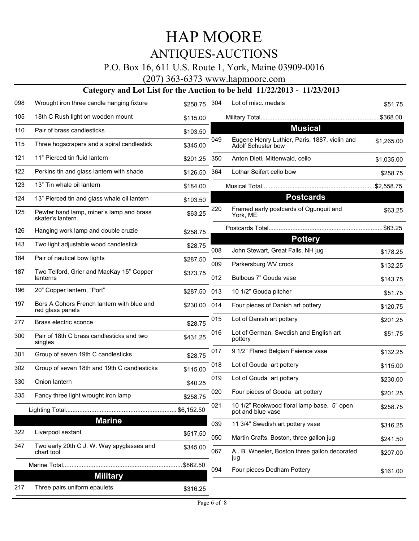## P.O. Box 16, 611 U.S. Route 1, York, Maine 03909-0016

(207) 363-6373 www.hapmoore.com

| 098 | Wrought iron three candle hanging fixture                      | \$258.75 | -304       | Lot of misc. medals                                                 | \$51.75              |
|-----|----------------------------------------------------------------|----------|------------|---------------------------------------------------------------------|----------------------|
| 105 | 18th C Rush light on wooden mount                              | \$115.00 |            |                                                                     |                      |
| 110 | Pair of brass candlesticks                                     | \$103.50 |            | <b>Musical</b>                                                      |                      |
| 115 | Three hogscrapers and a spiral candlestick                     | \$345.00 | 049        | Eugene Henry Luthier, Paris, 1887, violin and<br>Adolf Schuster bow | \$1,265.00           |
| 121 | 11" Pierced tin fluid lantern                                  | \$201.25 | 350        | Anton Dietl, Mittenwald, cello                                      | \$1,035.00           |
| 122 | Perkins tin and glass lantern with shade                       | \$126.50 | 364        | Lothar Seifert cello bow                                            | \$258.75             |
| 123 | 13" Tin whale oil lantern                                      | \$184.00 |            |                                                                     |                      |
| 124 | 13" Pierced tin and glass whale oil lantern                    | \$103.50 |            | <b>Postcards</b>                                                    |                      |
| 125 | Pewter hand lamp, miner's lamp and brass<br>skater's lantern   | \$63.25  | 220        | Framed early postcards of Ogunquit and<br>York, ME                  | \$63.25              |
| 126 | Hanging work lamp and double cruzie                            | \$258.75 |            |                                                                     |                      |
| 143 | Two light adjustable wood candlestick                          | \$28.75  |            | <b>Pottery</b>                                                      |                      |
| 184 | Pair of nautical bow lights                                    | \$287.50 | 008        | John Stewart, Great Falls, NH jug                                   | \$178.25             |
| 187 | Two Telford, Grier and MacKay 15" Copper<br>lanterns           | \$373.75 | 009<br>012 | Parkersburg WV crock<br>Bulbous 7" Gouda vase                       | \$132.25<br>\$143.75 |
| 196 | 20" Copper lantern, "Port"                                     | \$287.50 | 013        | 10 1/2" Gouda pitcher                                               | \$51.75              |
| 197 | Bors A Cohors French lantern with blue and<br>red glass panels | \$230.00 | 014        | Four pieces of Danish art pottery                                   | \$120.75             |
| 277 | Brass electric sconce                                          | \$28.75  | 015        | Lot of Danish art pottery                                           | \$201.25             |
| 300 | Pair of 18th C brass candlesticks and two<br>singles           | \$431.25 | 016        | Lot of German, Swedish and English art<br>pottery                   | \$51.75              |
| 301 | Group of seven 19th C candlesticks                             | \$28.75  | 017        | 9 1/2" Flared Belgian Faience vase                                  | \$132.25             |
| 302 | Group of seven 18th and 19th C candlesticks                    | \$115.00 | 018        | Lot of Gouda art pottery                                            | \$115.00             |
| 330 | Onion lantern                                                  | \$40.25  | 019        | Lot of Gouda art pottery                                            | \$230.00             |
| 335 | Fancy three light wrought iron lamp                            | \$258.75 | 020        | Four pieces of Gouda art pottery                                    | \$201.25             |
|     |                                                                |          | 021        | 10 1/2" Rookwood floral lamp base, 5" open<br>pot and blue vase     | \$258.75             |
|     | <b>Marine</b>                                                  |          | 039        | 11 3/4" Swedish art pottery vase                                    | \$316.25             |
| 322 | Liverpool sextant                                              | \$517.50 | 050        | Martin Crafts, Boston, three gallon jug                             | \$241.50             |
| 347 | Two early 20th C J. W. Way spyglasses and<br>chart tool        | \$345.00 | 067        | A B. Wheeler, Boston three gallon decorated                         | \$207.00             |
|     |                                                                |          |            | jug<br>Four pieces Dedham Pottery                                   |                      |
|     | <b>Military</b>                                                |          | 094        |                                                                     | \$161.00             |
| 217 | Three pairs uniform epaulets                                   | \$316.25 |            |                                                                     |                      |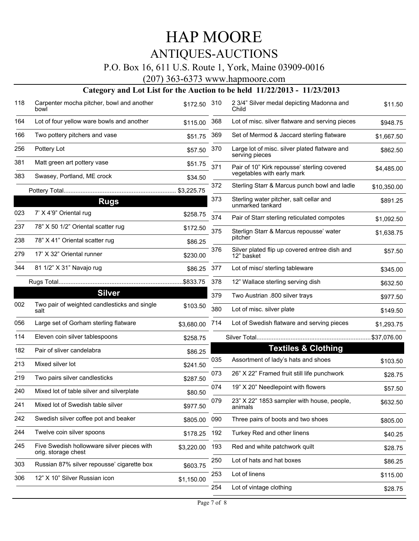# HAP MOORE

# ANTIQUES-AUCTIONS

## P.O. Box 16, 611 U.S. Route 1, York, Maine 03909-0016

(207) 363-6373 www.hapmoore.com

| 118 | Carpenter mocha pitcher, bowl and another<br>bowl                 | \$172.50   | 310 | 2 3/4" Silver medal depicting Madonna and<br>Child              | \$11.50     |
|-----|-------------------------------------------------------------------|------------|-----|-----------------------------------------------------------------|-------------|
| 164 | Lot of four yellow ware bowls and another                         | \$115.00   | 368 | Lot of misc. silver flatware and serving pieces                 | \$948.75    |
| 166 | Two pottery pitchers and vase                                     | \$51.75    | 369 | Set of Mermod & Jaccard sterling flatware                       | \$1,667.50  |
| 256 | Pottery Lot                                                       | \$57.50    | 370 | Large lot of misc. silver plated flatware and<br>serving pieces | \$862.50    |
| 381 | Matt green art pottery vase                                       | \$51.75    | 371 | Pair of 10" Kirk repousse' sterling covered                     | \$4,485.00  |
| 383 | Swasey, Portland, ME crock                                        | \$34.50    |     | vegetables with early mark                                      |             |
|     |                                                                   | \$3,225.75 | 372 | Sterling Starr & Marcus punch bowl and ladle                    | \$10,350.00 |
|     | <b>Rugs</b>                                                       |            | 373 | Sterling water pitcher, salt cellar and<br>unmarked tankard     | \$891.25    |
| 023 | 7' X 4'9" Oriental rug                                            | \$258.75   | 374 | Pair of Starr sterling reticulated compotes                     | \$1,092.50  |
| 237 | 78" X 50 1/2" Oriental scatter rug                                | \$172.50   | 375 | Sterlign Starr & Marcus repousse' water                         | \$1,638.75  |
| 238 | 78" X 41" Oriental scatter rug                                    | \$86.25    |     | pitcher                                                         |             |
| 279 | 17' X 32" Oriental runner                                         | \$230.00   | 376 | Silver plated flip up covered entree dish and<br>12" basket     | \$57.50     |
| 344 | 81 1/2" X 31" Navajo rug                                          | \$86.25    | 377 | Lot of misc/ sterling tableware                                 | \$345.00    |
|     |                                                                   |            | 378 | 12" Wallace sterling serving dish                               | \$632.50    |
|     | <b>Silver</b>                                                     |            | 379 | Two Austrian .800 silver trays                                  | \$977.50    |
| 002 | Two pair of weighted candlesticks and single<br>salt              | \$103.50   | 380 | Lot of misc. silver plate                                       | \$149.50    |
| 056 | Large set of Gorham sterling flatware                             | \$3,680.00 | 714 | Lot of Swedish flatware and serving pieces                      | \$1,293.75  |
| 114 | Eleven coin silver tablespoons                                    | \$258.75   |     |                                                                 |             |
| 182 | Pair of sliver candelabra                                         | \$86.25    |     | <b>Textiles &amp; Clothing</b>                                  |             |
| 213 | Mixed silver lot                                                  | \$241.50   | 035 | Assortment of lady's hats and shoes                             | \$103.50    |
| 219 | Two pairs silver candlesticks                                     | \$287.50   | 073 | 26" X 22" Framed fruit still life punchwork                     | \$28.75     |
| 240 | Mixed lot of table silver and silverplate                         | \$80.50    | 074 | 19" X 20" Needlepoint with flowers                              | \$57.50     |
| 241 | Mixed lot of Swedish table silver                                 | \$977.50   | 079 | 23" X 22" 1853 sampler with house, people,<br>animals           | \$632.50    |
| 242 | Swedish silver coffee pot and beaker                              | \$805.00   | 090 | Three pairs of boots and two shoes                              | \$805.00    |
| 244 | Twelve coin silver spoons                                         | \$178.25   | 192 | Turkey Red and other linens                                     | \$40.25     |
| 245 | Five Swedish hollowware silver pieces with<br>orig. storage chest | \$3,220.00 | 193 | Red and white patchwork quilt                                   | \$28.75     |
| 303 | Russian 87% silver repousse' cigarette box                        | \$603.75   | 250 | Lot of hats and hat boxes                                       | \$86.25     |
| 306 | 12" X 10" Silver Russian icon                                     | \$1,150.00 | 253 | Lot of linens                                                   | \$115.00    |
|     |                                                                   |            | 254 | Lot of vintage clothing                                         | \$28.75     |